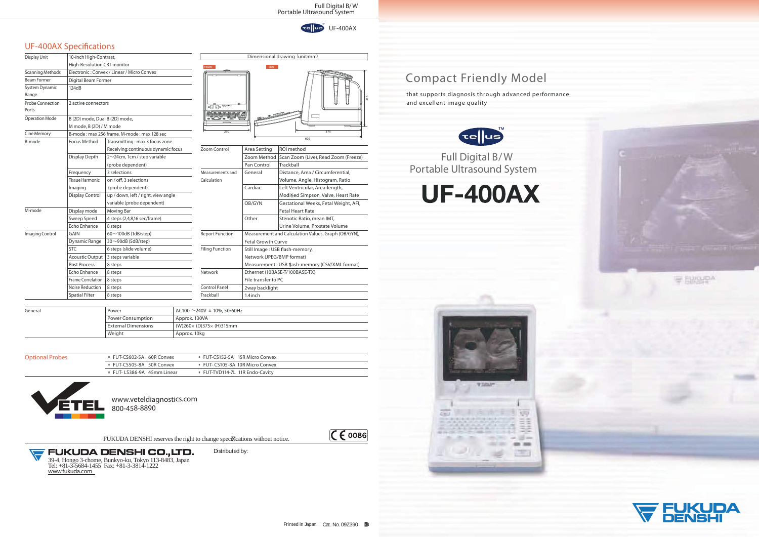## *UF-400AX Speci cations*



Full Digital B/ W Portable Ultrasound System





 $CC$   $C$   $C$   $D$ 







## Compact Friendly Model

that supports diagnosis through advanced performance and excellent image quality



Approx. 130VA

(W)260<sup>×</sup> (D)375<sup>×</sup> (H)315mm

Approx. 10kg



| EUT-CS602-5A 60R Convex         | <b>EUT-CS152-5A 15R Micro Convex</b>       |
|---------------------------------|--------------------------------------------|
| EUT-CS505-8A 50R Convex         | <b>EUT-CS105-8A 10R Micro Convex</b>       |
| <b>EUT-LS386-9A</b> 45mm Linear | <sup>®</sup> FUT-TVD114-7L 11R Endo-Cavity |

 $AC100 \sim 240V \pm 10\%$ , 50/60Hz

| Display Unit              | 10-inch High-Contrast,         |                                            | Dimensional drawin     |                                                          |                    |
|---------------------------|--------------------------------|--------------------------------------------|------------------------|----------------------------------------------------------|--------------------|
|                           | High-Resolution CRT monitor    |                                            | <b>FRONT</b>           | <b>SIDE</b>                                              |                    |
| <b>Scanning Methods</b>   |                                | Electronic: Convex / Linear / Micro Convex |                        |                                                          |                    |
| <b>Beam Former</b>        | <b>Digital Beam Former</b>     |                                            |                        |                                                          |                    |
| System Dynamic            | 124dB                          |                                            |                        |                                                          |                    |
| Range                     |                                |                                            |                        |                                                          |                    |
| Probe Connection<br>Ports | 2 active connectors            |                                            |                        |                                                          |                    |
| <b>Operation Mode</b>     | B (2D) mode, Dual B (2D) mode, |                                            | $a \leq 3a$            |                                                          |                    |
|                           | M mode, B (2D) / M mode        |                                            |                        |                                                          |                    |
| <b>Cine Memory</b>        |                                | B-mode: max 256 frame, M-mode: max 128 sec | 260                    |                                                          |                    |
| <b>B-mode</b>             | <b>Focus Method</b>            | Transmitting: max 3 focus zone             |                        |                                                          |                    |
|                           |                                | Receiving: continuous dynamic focus        | Zoom Control           | Area Setting                                             | ROI m              |
|                           | Display Depth                  | $2 \sim 24$ cm, 1cm / step variable        |                        | Zoom Method                                              | Scan Z             |
|                           |                                | (probe dependent)                          |                        | Pan Control                                              | Trackb             |
|                           | Frequency                      | 3 selections                               | Measurements and       | General                                                  | Distan             |
|                           | <b>Tissue Harmonic</b>         | on / off, 3 selections                     | Calculation            | Volum                                                    |                    |
|                           | Imaging                        | (probe dependent)                          |                        | Cardiac                                                  | Left Ve            |
|                           | <b>Display Control</b>         | up / down, left / right, view angle        |                        |                                                          | Modif              |
|                           |                                | variable (probe dependent)                 |                        | OB/GYN                                                   | Gestat             |
| M-mode                    | Display mode                   | Moving Bar                                 |                        |                                                          | Fetal <b>H</b>     |
|                           | Sweep Speed                    | 4 steps (2,4,8,16 sec/frame)               |                        | Other                                                    | Stenot             |
|                           | Echo Enhance                   | 8 steps                                    |                        |                                                          | Urine <sup>'</sup> |
| <b>Imaging Control</b>    | <b>GAIN</b>                    | 60 $\sim$ 100dB (1dB/step)                 | <b>Report Function</b> | <b>Measurement and Calc</b><br><b>Fetal Growth Curve</b> |                    |
|                           | Dynamic Range                  | $30 \sim 90$ dB (5dB/step)                 |                        |                                                          |                    |
|                           | <b>STC</b>                     | 6 steps (slide volume)                     | <b>Filing Function</b> | Still Image: USB flash-<br>Network (JPEG/BMP fo          |                    |
|                           | <b>Acoustic Output</b>         | 3 steps variable                           |                        |                                                          |                    |
|                           | <b>Post Process</b>            | 8 steps                                    |                        | Measurement: USB fla                                     |                    |
|                           | Echo Enhance                   | 8 steps                                    | Network                | Ethernet (10BASE-T/10                                    |                    |
|                           | <b>Frame Correlation</b>       | 8 steps                                    |                        | File transfer to PC                                      |                    |
|                           | Noise Reduction                | 8 steps                                    | <b>Control Panel</b>   | 2way backlight                                           |                    |
|                           | <b>Spatial Filter</b>          | 8 steps                                    | Trackball              | 1.4inch                                                  |                    |

**General** and the contract of the Power and the contract of AC100  $\,$  AC100  $\,$ 

**Optional Probes** 

| ocus | Zoom Control           | ROI method<br>Area Setting                     |                                                     |  |  |
|------|------------------------|------------------------------------------------|-----------------------------------------------------|--|--|
|      |                        | Zoom Method                                    | Scan Zoom (Live), Read Zoom (Freeze)                |  |  |
|      |                        | Pan Control                                    | Trackball                                           |  |  |
|      | Measurements and       | General                                        | Distance, Area / Circumferential,                   |  |  |
|      | Calculation            |                                                | Volume, Angle, Histogram, Ratio                     |  |  |
|      |                        | Cardiac                                        | Left Ventricular, Area-length,                      |  |  |
|      |                        |                                                | Modified Simpson, Valve, Heart Rate                 |  |  |
|      |                        | OB/GYN                                         | Gestational Weeks, Fetal Weight, AFI,               |  |  |
|      |                        |                                                | <b>Fetal Heart Rate</b>                             |  |  |
|      |                        | Other                                          | Stenotic Ratio, mean IMT,                           |  |  |
|      |                        |                                                | Urine Volume, Prostate Volume                       |  |  |
|      | <b>Report Function</b> |                                                | Measurement and Calculation Values, Graph (OB/GYN), |  |  |
|      |                        | <b>Fetal Growth Curve</b>                      |                                                     |  |  |
|      | <b>Filing Function</b> | Still Image: USB flash-memory,                 |                                                     |  |  |
|      |                        | Network (JPEG/BMP format)                      |                                                     |  |  |
|      |                        | Measurement: USB flash-memory (CSV/XML format) |                                                     |  |  |
|      | Network                |                                                | Ethernet (10BASE-T/100BASE-TX)                      |  |  |
|      |                        |                                                | File transfer to PC                                 |  |  |
|      | <b>Control Panel</b>   | 2way backlight                                 |                                                     |  |  |
|      | Trackball              | 1.4inch                                        |                                                     |  |  |

Power Consumption External Dimensions

Weight

FUKUDA DENSHI reserves the right to change speci<sup>[2]</sup> cations without notice.



Distributed by:

www.veteldiagnostics.com 800-458-8890